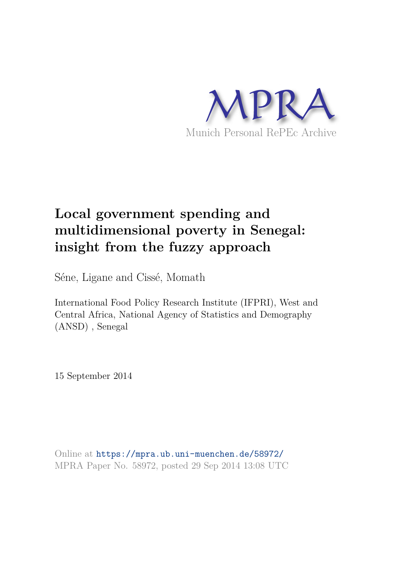

# **Local government spending and multidimensional poverty in Senegal: insight from the fuzzy approach**

Séne, Ligane and Cissé, Momath

International Food Policy Research Institute (IFPRI), West and Central Africa, National Agency of Statistics and Demography (ANSD) , Senegal

15 September 2014

Online at https://mpra.ub.uni-muenchen.de/58972/ MPRA Paper No. 58972, posted 29 Sep 2014 13:08 UTC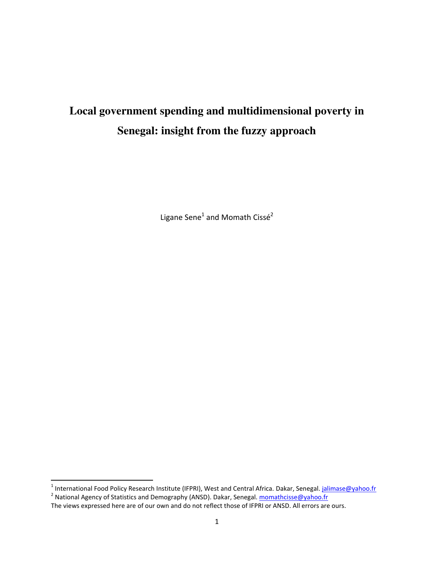# **Local government spending and multidimensional poverty in Senegal: insight from the fuzzy approach**

Ligane Sene<sup>1</sup> and Momath Cissé<sup>2</sup>

<sup>1&</sup>lt;br><sup>1</sup> International Food Policy Research Institute (IFPRI), West and Central Africa. Dakar, Senegal. <u>jalimase@yahoo.fr</u><br><sup>2</sup> National Agency of Statistics and Demography (ANSD). Dakar, Senegal. <u>momathcisse@yahoo.fr</u>

The views expressed here are of our own and do not reflect those of IFPRI or ANSD. All errors are ours.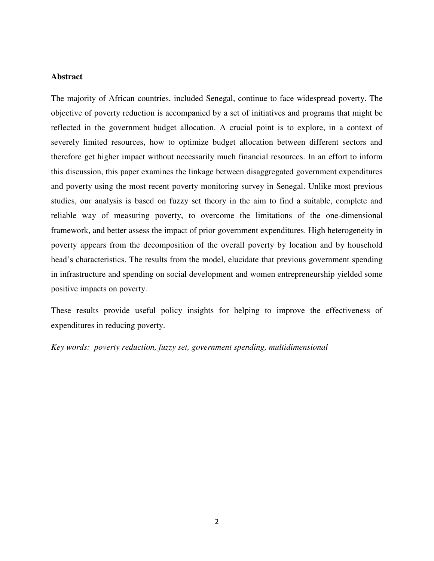#### **Abstract**

The majority of African countries, included Senegal, continue to face widespread poverty. The objective of poverty reduction is accompanied by a set of initiatives and programs that might be reflected in the government budget allocation. A crucial point is to explore, in a context of severely limited resources, how to optimize budget allocation between different sectors and therefore get higher impact without necessarily much financial resources. In an effort to inform this discussion, this paper examines the linkage between disaggregated government expenditures and poverty using the most recent poverty monitoring survey in Senegal. Unlike most previous studies, our analysis is based on fuzzy set theory in the aim to find a suitable, complete and reliable way of measuring poverty, to overcome the limitations of the one-dimensional framework, and better assess the impact of prior government expenditures. High heterogeneity in poverty appears from the decomposition of the overall poverty by location and by household head's characteristics. The results from the model, elucidate that previous government spending in infrastructure and spending on social development and women entrepreneurship yielded some positive impacts on poverty.

These results provide useful policy insights for helping to improve the effectiveness of expenditures in reducing poverty.

*Key words: poverty reduction, fuzzy set, government spending, multidimensional*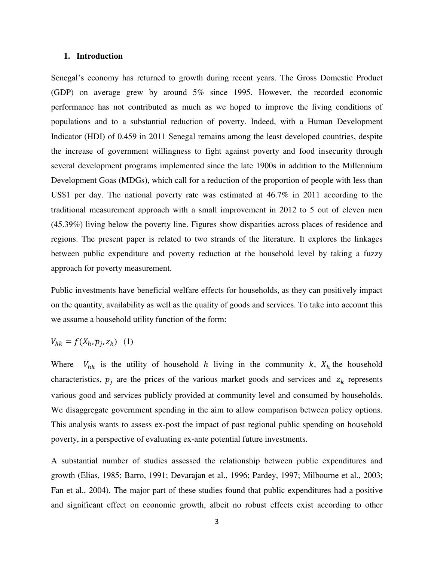#### **1. Introduction**

Senegal's economy has returned to growth during recent years. The Gross Domestic Product (GDP) on average grew by around 5% since 1995. However, the recorded economic performance has not contributed as much as we hoped to improve the living conditions of populations and to a substantial reduction of poverty. Indeed, with a Human Development Indicator (HDI) of 0.459 in 2011 Senegal remains among the least developed countries, despite the increase of government willingness to fight against poverty and food insecurity through several development programs implemented since the late 1900s in addition to the Millennium Development Goas (MDGs), which call for a reduction of the proportion of people with less than US\$1 per day. The national poverty rate was estimated at 46.7% in 2011 according to the traditional measurement approach with a small improvement in 2012 to 5 out of eleven men (45.39%) living below the poverty line. Figures show disparities across places of residence and regions. The present paper is related to two strands of the literature. It explores the linkages between public expenditure and poverty reduction at the household level by taking a fuzzy approach for poverty measurement.

Public investments have beneficial welfare effects for households, as they can positively impact on the quantity, availability as well as the quality of goods and services. To take into account this we assume a household utility function of the form:

$$
V_{hk} = f(X_h, p_j, z_k) \quad (1)
$$

Where  $V_{hk}$  is the utility of household h living in the community k,  $X_h$  the household characteristics,  $p_i$  are the prices of the various market goods and services and  $z_k$  represents various good and services publicly provided at community level and consumed by households. We disaggregate government spending in the aim to allow comparison between policy options. This analysis wants to assess ex-post the impact of past regional public spending on household poverty, in a perspective of evaluating ex-ante potential future investments.

A substantial number of studies assessed the relationship between public expenditures and growth (Elias, 1985; Barro, 1991; Devarajan et al., 1996; Pardey, 1997; Milbourne et al., 2003; Fan et al., 2004). The major part of these studies found that public expenditures had a positive and significant effect on economic growth, albeit no robust effects exist according to other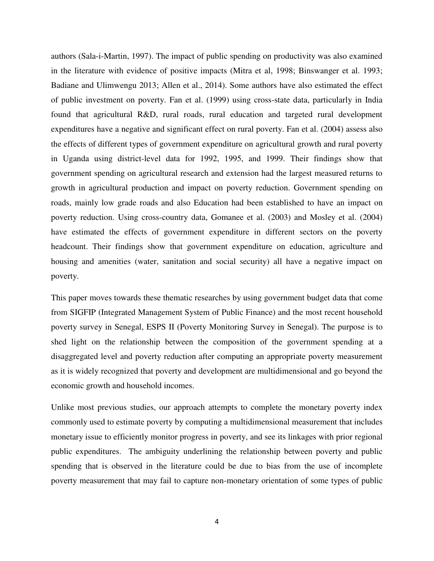authors (Sala-i-Martin, 1997). The impact of public spending on productivity was also examined in the literature with evidence of positive impacts (Mitra et al, 1998; Binswanger et al. 1993; Badiane and Ulimwengu 2013; Allen et al., 2014). Some authors have also estimated the effect of public investment on poverty. Fan et al. (1999) using cross-state data, particularly in India found that agricultural R&D, rural roads, rural education and targeted rural development expenditures have a negative and significant effect on rural poverty. Fan et al. (2004) assess also the effects of different types of government expenditure on agricultural growth and rural poverty in Uganda using district-level data for 1992, 1995, and 1999. Their findings show that government spending on agricultural research and extension had the largest measured returns to growth in agricultural production and impact on poverty reduction. Government spending on roads, mainly low grade roads and also Education had been established to have an impact on poverty reduction. Using cross-country data, Gomanee et al. (2003) and Mosley et al. (2004) have estimated the effects of government expenditure in different sectors on the poverty headcount. Their findings show that government expenditure on education, agriculture and housing and amenities (water, sanitation and social security) all have a negative impact on poverty.

This paper moves towards these thematic researches by using government budget data that come from SIGFIP (Integrated Management System of Public Finance) and the most recent household poverty survey in Senegal, ESPS II (Poverty Monitoring Survey in Senegal). The purpose is to shed light on the relationship between the composition of the government spending at a disaggregated level and poverty reduction after computing an appropriate poverty measurement as it is widely recognized that poverty and development are multidimensional and go beyond the economic growth and household incomes.

Unlike most previous studies, our approach attempts to complete the monetary poverty index commonly used to estimate poverty by computing a multidimensional measurement that includes monetary issue to efficiently monitor progress in poverty, and see its linkages with prior regional public expenditures. The ambiguity underlining the relationship between poverty and public spending that is observed in the literature could be due to bias from the use of incomplete poverty measurement that may fail to capture non-monetary orientation of some types of public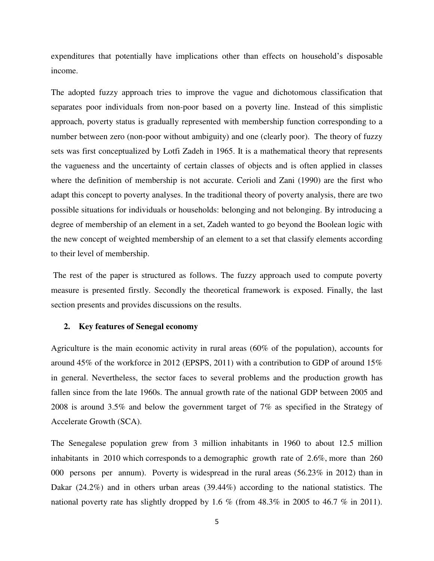expenditures that potentially have implications other than effects on household's disposable income.

The adopted fuzzy approach tries to improve the vague and dichotomous classification that separates poor individuals from non-poor based on a poverty line. Instead of this simplistic approach, poverty status is gradually represented with membership function corresponding to a number between zero (non-poor without ambiguity) and one (clearly poor). The theory of fuzzy sets was first conceptualized by Lotfi Zadeh in 1965. It is a mathematical theory that represents the vagueness and the uncertainty of certain classes of objects and is often applied in classes where the definition of membership is not accurate. Cerioli and Zani (1990) are the first who adapt this concept to poverty analyses. In the traditional theory of poverty analysis, there are two possible situations for individuals or households: belonging and not belonging. By introducing a degree of membership of an element in a set, Zadeh wanted to go beyond the Boolean logic with the new concept of weighted membership of an element to a set that classify elements according to their level of membership.

 The rest of the paper is structured as follows. The fuzzy approach used to compute poverty measure is presented firstly. Secondly the theoretical framework is exposed. Finally, the last section presents and provides discussions on the results.

#### **2. Key features of Senegal economy**

Agriculture is the main economic activity in rural areas (60% of the population), accounts for around 45% of the workforce in 2012 (EPSPS, 2011) with a contribution to GDP of around 15% in general. Nevertheless, the sector faces to several problems and the production growth has fallen since from the late 1960s. The annual growth rate of the national GDP between 2005 and 2008 is around 3.5% and below the government target of 7% as specified in the Strategy of Accelerate Growth (SCA).

The Senegalese population grew from 3 million inhabitants in 1960 to about 12.5 million inhabitants in 2010 which corresponds to a demographic growth rate of 2.6%, more than 260 000 persons per annum). Poverty is widespread in the rural areas (56.23% in 2012) than in Dakar (24.2%) and in others urban areas (39.44%) according to the national statistics. The national poverty rate has slightly dropped by 1.6 % (from 48.3% in 2005 to 46.7 % in 2011).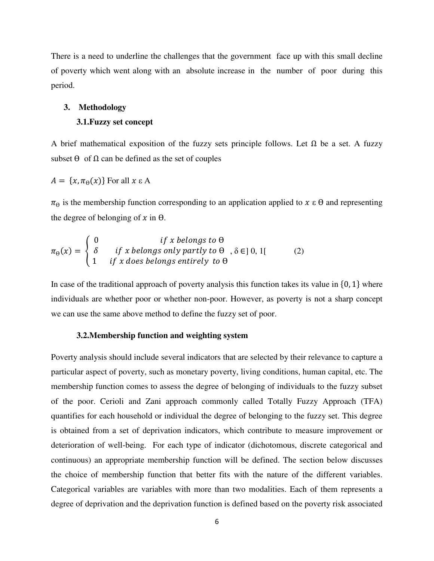There is a need to underline the challenges that the government face up with this small decline of poverty which went along with an absolute increase in the number of poor during this period.

#### **3. Methodology**

#### **3.1.Fuzzy set concept**

A brief mathematical exposition of the fuzzy sets principle follows. Let  $\Omega$  be a set. A fuzzy subset  $\Theta$  of  $\Omega$  can be defined as the set of couples

$$
A = \{x, \pi_{\Theta}(x)\} \text{ For all } x \in A
$$

 $\pi_{\theta}$  is the membership function corresponding to an application applied to  $x \in \theta$  and representing the degree of belonging of x in  $\theta$ .

$$
\pi_{\theta}(x) = \begin{cases}\n0 & \text{if } x \text{ belongs to } \theta \\
\delta & \text{if } x \text{ belongs only partly to } \theta, \delta \in ]0, 1[\n\end{cases}
$$
\n(2)

In case of the traditional approach of poverty analysis this function takes its value in  $\{0, 1\}$  where individuals are whether poor or whether non-poor. However, as poverty is not a sharp concept we can use the same above method to define the fuzzy set of poor.

#### **3.2.Membership function and weighting system**

Poverty analysis should include several indicators that are selected by their relevance to capture a particular aspect of poverty, such as monetary poverty, living conditions, human capital, etc. The membership function comes to assess the degree of belonging of individuals to the fuzzy subset of the poor. Cerioli and Zani approach commonly called Totally Fuzzy Approach (TFA) quantifies for each household or individual the degree of belonging to the fuzzy set. This degree is obtained from a set of deprivation indicators, which contribute to measure improvement or deterioration of well-being. For each type of indicator (dichotomous, discrete categorical and continuous) an appropriate membership function will be defined. The section below discusses the choice of membership function that better fits with the nature of the different variables. Categorical variables are variables with more than two modalities. Each of them represents a degree of deprivation and the deprivation function is defined based on the poverty risk associated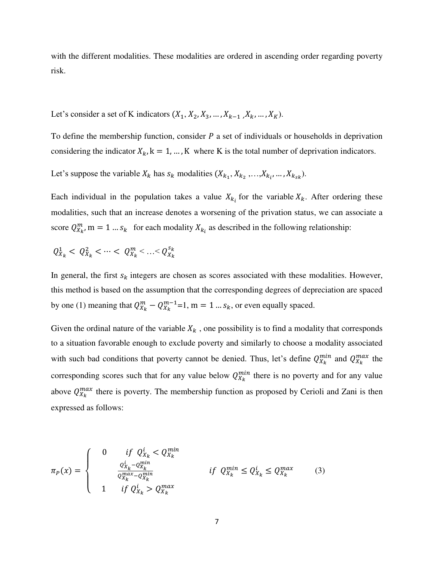with the different modalities. These modalities are ordered in ascending order regarding poverty risk.

Let's consider a set of K indicators 
$$
(X_1, X_2, X_3, \ldots, X_{k-1}, X_k, \ldots, X_K)
$$
.

To define the membership function, consider  $P$  a set of individuals or households in deprivation considering the indicator  $X_k$ ,  $k = 1, ..., K$  where K is the total number of deprivation indicators.

Let's suppose the variable  $X_k$  has  $s_k$  modalities  $(X_{k_1}, X_{k_2},..., X_{k_i},..., X_{k_{sk}})$ .

Each individual in the population takes a value  $X_{k_i}$  for the variable  $X_k$ . After ordering these modalities, such that an increase denotes a worsening of the privation status, we can associate a score  $Q_{X_k}^m$ , m = 1 ...  $s_k$  for each modality  $X_{k_i}$  as described in the following relationship:

$$
Q_{X_k}^1 < Q_{X_k}^2 < \cdots < Q_{X_k}^m < \ldots < Q_{X_k}^{s_k}
$$

In general, the first  $s_k$  integers are chosen as scores associated with these modalities. However, this method is based on the assumption that the corresponding degrees of depreciation are spaced by one (1) meaning that  $Q_{X_k}^m - Q_{X_k}^{m-1} = 1$ ,  $m = 1...s_k$ , or even equally spaced.

Given the ordinal nature of the variable  $X_k$ , one possibility is to find a modality that corresponds to a situation favorable enough to exclude poverty and similarly to choose a modality associated with such bad conditions that poverty cannot be denied. Thus, let's define  $Q_{X_k}^{min}$  and  $Q_{X_k}^{max}$  the corresponding scores such that for any value below  $Q_{X_k}^{min}$  there is no poverty and for any value above  $Q_{X_k}^{max}$  there is poverty. The membership function as proposed by Cerioli and Zani is then expressed as follows:

$$
\pi_{P}(x) = \begin{cases}\n0 & \text{if } Q_{X_{k}}^{i} < Q_{X_{k}}^{min} \\
\frac{Q_{X_{k}}^{i} - Q_{X_{k}}^{min}}{Q_{X_{k}}^{max} - Q_{X_{k}}^{min}} & \text{if } Q_{X_{k}}^{min} \le Q_{X_{k}}^{i} \le Q_{X_{k}}^{max} \\
1 & \text{if } Q_{X_{k}}^{i} > Q_{X_{k}}^{max}\n\end{cases} \tag{3}
$$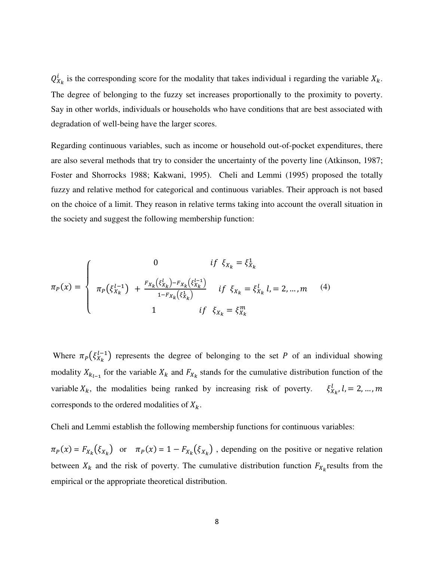$Q_{X_k}^t$  is the corresponding score for the modality that takes individual i regarding the variable  $X_k$ . The degree of belonging to the fuzzy set increases proportionally to the proximity to poverty. Say in other worlds, individuals or households who have conditions that are best associated with degradation of well-being have the larger scores.

Regarding continuous variables, such as income or household out-of-pocket expenditures, there are also several methods that try to consider the uncertainty of the poverty line (Atkinson, 1987; Foster and Shorrocks 1988; Kakwani, 1995). Cheli and Lemmi (1995) proposed the totally fuzzy and relative method for categorical and continuous variables. Their approach is not based on the choice of a limit. They reason in relative terms taking into account the overall situation in the society and suggest the following membership function:

$$
\pi_{P}(x) = \begin{cases}\n0 & \text{if } \xi_{X_{k}} = \xi_{X_{k}}^{1} \\
\pi_{P}(\xi_{X_{k}}^{l-1}) + \frac{F_{X_{k}}(\xi_{X_{k}}^{l}) - F_{X_{k}}(\xi_{X_{k}}^{l-1})}{1 - F_{X_{k}}(\xi_{X_{k}}^{1})} & \text{if } \xi_{X_{k}} = \xi_{X_{k}}^{l} l = 2, ..., m \\
1 & \text{if } \xi_{X_{k}} = \xi_{X_{k}}^{m}\n\end{cases}
$$
\n(4)

Where  $\pi_P(\xi_{X_k}^{l-1})$  represents the degree of belonging to the set P of an individual showing modality  $X_{k_{l-1}}$  for the variable  $X_k$  and  $F_{X_k}$  stands for the cumulative distribution function of the variable  $X_k$ , the modalities being ranked by increasing risk of poverty.  $x_k$ , corresponds to the ordered modalities of  $X_k$ .

Cheli and Lemmi establish the following membership functions for continuous variables:

 $\pi_P(x) = F_{X_k}(\xi_{X_k})$  or  $\pi_P(x) = 1 - F_{X_k}(\xi_{X_k})$ , depending on the positive or negative relation between  $X_k$  and the risk of poverty. The cumulative distribution function  $F_{X_k}$  results from the empirical or the appropriate theoretical distribution.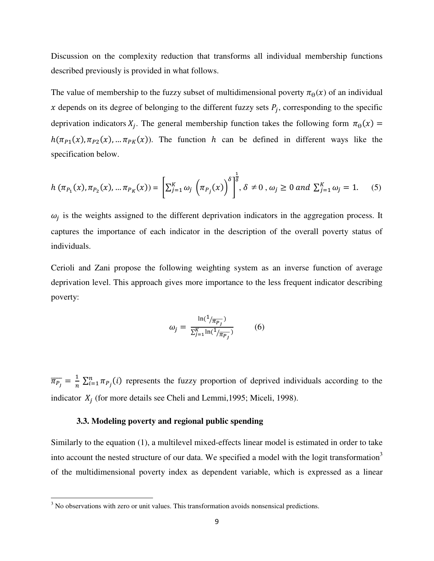Discussion on the complexity reduction that transforms all individual membership functions described previously is provided in what follows.

The value of membership to the fuzzy subset of multidimensional poverty  $\pi_{\theta}(x)$  of an individual x depends on its degree of belonging to the different fuzzy sets  $P_j$ , corresponding to the specific deprivation indicators  $X_j$ . The general membership function takes the following form  $\pi_{\theta}$  $h(\pi_{P1}(x), \pi_{P2}(x), \dots, \pi_{PK}(x))$ . The function h can be defined in different ways like the specification below.

$$
h\left(\pi_{P_1}(x), \pi_{P_2}(x), \dots \pi_{P_K}(x)\right) = \left[\sum_{j=1}^K \omega_j \left(\pi_{P_j}(x)\right)^{\delta}\right]^{\frac{1}{\delta}}, \delta \neq 0, \omega_j \ge 0 \text{ and } \sum_{j=1}^K \omega_j = 1. \tag{5}
$$

 $\omega_j$  is the weights assigned to the different deprivation indicators in the aggregation process. It captures the importance of each indicator in the description of the overall poverty status of individuals.

Cerioli and Zani propose the following weighting system as an inverse function of average deprivation level. This approach gives more importance to the less frequent indicator describing poverty:

$$
\omega_j = \frac{\ln(1/\overline{\pi_{P_j}})}{\sum_{j=1}^{K} \ln(1/\overline{\pi_{P_j}})}
$$
(6)

 $\overline{\pi_{P_I}} = \frac{1}{n}$  $\frac{1}{n} \sum_{i=1}^{n} \pi_{P_i}(i)$  represents the fuzzy proportion of deprived individuals according to the indicator  $X_i$  (for more details see Cheli and Lemmi, 1995; Miceli, 1998).

#### **3.3. Modeling poverty and regional public spending**

Similarly to the equation (1), a multilevel mixed-effects linear model is estimated in order to take into account the nested structure of our data. We specified a model with the logit transformation<sup>3</sup> of the multidimensional poverty index as dependent variable, which is expressed as a linear

<sup>&</sup>lt;sup>3</sup> No observations with zero or unit values. This transformation avoids nonsensical predictions.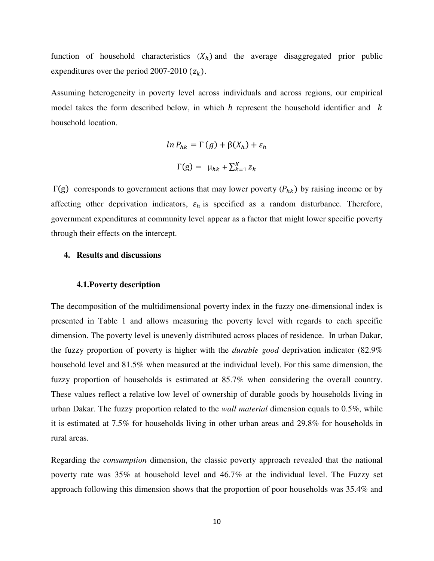function of household characteristics  $(X_h)$  and the average disaggregated prior public expenditures over the period 2007-2010  $(z_k)$ .

Assuming heterogeneity in poverty level across individuals and across regions, our empirical model takes the form described below, in which  $h$  represent the household identifier and  $k$ household location.

$$
\ln P_{hk} = \Gamma(g) + \beta(X_h) + \varepsilon_h
$$

$$
\Gamma(g) = \mu_{hk} + \sum_{k=1}^{K} z_k
$$

 $\Gamma(g)$  corresponds to government actions that may lower poverty ( $P_{hk}$ ) by raising income or by affecting other deprivation indicators,  $\varepsilon_h$  is specified as a random disturbance. Therefore, government expenditures at community level appear as a factor that might lower specific poverty through their effects on the intercept.

#### **4. Results and discussions**

#### **4.1.Poverty description**

The decomposition of the multidimensional poverty index in the fuzzy one-dimensional index is presented in Table 1 and allows measuring the poverty level with regards to each specific dimension. The poverty level is unevenly distributed across places of residence. In urban Dakar, the fuzzy proportion of poverty is higher with the *durable good* deprivation indicator (82.9% household level and 81.5% when measured at the individual level). For this same dimension, the fuzzy proportion of households is estimated at 85.7% when considering the overall country. These values reflect a relative low level of ownership of durable goods by households living in urban Dakar. The fuzzy proportion related to the *wall material* dimension equals to 0.5%, while it is estimated at 7.5% for households living in other urban areas and 29.8% for households in rural areas.

Regarding the *consumption* dimension, the classic poverty approach revealed that the national poverty rate was 35% at household level and 46.7% at the individual level. The Fuzzy set approach following this dimension shows that the proportion of poor households was 35.4% and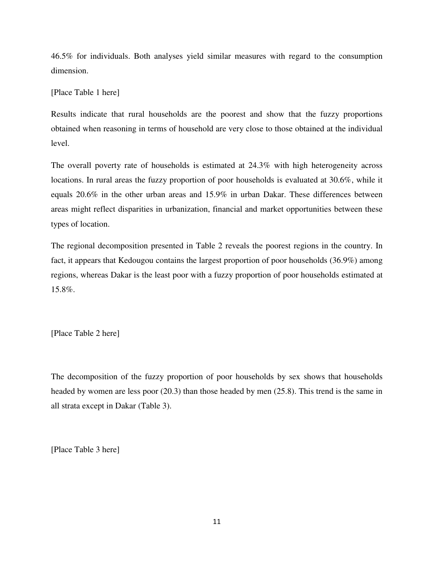46.5% for individuals. Both analyses yield similar measures with regard to the consumption dimension.

[Place Table 1 here]

Results indicate that rural households are the poorest and show that the fuzzy proportions obtained when reasoning in terms of household are very close to those obtained at the individual level.

The overall poverty rate of households is estimated at 24.3% with high heterogeneity across locations. In rural areas the fuzzy proportion of poor households is evaluated at 30.6%, while it equals 20.6% in the other urban areas and 15.9% in urban Dakar. These differences between areas might reflect disparities in urbanization, financial and market opportunities between these types of location.

The regional decomposition presented in Table 2 reveals the poorest regions in the country. In fact, it appears that Kedougou contains the largest proportion of poor households (36.9%) among regions, whereas Dakar is the least poor with a fuzzy proportion of poor households estimated at 15.8%.

[Place Table 2 here]

The decomposition of the fuzzy proportion of poor households by sex shows that households headed by women are less poor (20.3) than those headed by men (25.8). This trend is the same in all strata except in Dakar (Table 3).

[Place Table 3 here]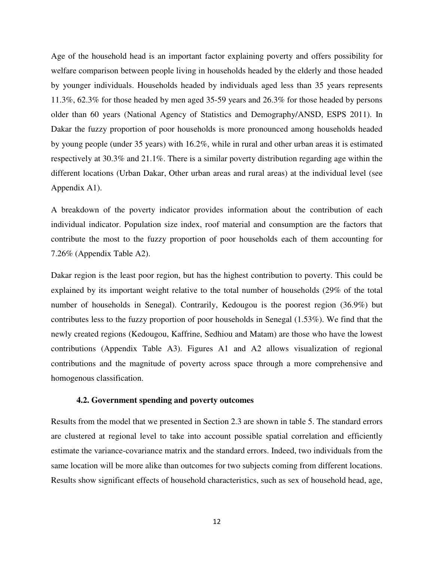Age of the household head is an important factor explaining poverty and offers possibility for welfare comparison between people living in households headed by the elderly and those headed by younger individuals. Households headed by individuals aged less than 35 years represents 11.3%, 62.3% for those headed by men aged 35-59 years and 26.3% for those headed by persons older than 60 years (National Agency of Statistics and Demography/ANSD, ESPS 2011). In Dakar the fuzzy proportion of poor households is more pronounced among households headed by young people (under 35 years) with 16.2%, while in rural and other urban areas it is estimated respectively at 30.3% and 21.1%. There is a similar poverty distribution regarding age within the different locations (Urban Dakar, Other urban areas and rural areas) at the individual level (see Appendix A1).

A breakdown of the poverty indicator provides information about the contribution of each individual indicator. Population size index, roof material and consumption are the factors that contribute the most to the fuzzy proportion of poor households each of them accounting for 7.26% (Appendix Table A2).

Dakar region is the least poor region, but has the highest contribution to poverty. This could be explained by its important weight relative to the total number of households (29% of the total number of households in Senegal). Contrarily, Kedougou is the poorest region (36.9%) but contributes less to the fuzzy proportion of poor households in Senegal (1.53%). We find that the newly created regions (Kedougou, Kaffrine, Sedhiou and Matam) are those who have the lowest contributions (Appendix Table A3). Figures A1 and A2 allows visualization of regional contributions and the magnitude of poverty across space through a more comprehensive and homogenous classification.

#### **4.2. Government spending and poverty outcomes**

Results from the model that we presented in Section 2.3 are shown in table 5. The standard errors are clustered at regional level to take into account possible spatial correlation and efficiently estimate the variance-covariance matrix and the standard errors. Indeed, two individuals from the same location will be more alike than outcomes for two subjects coming from different locations. Results show significant effects of household characteristics, such as sex of household head, age,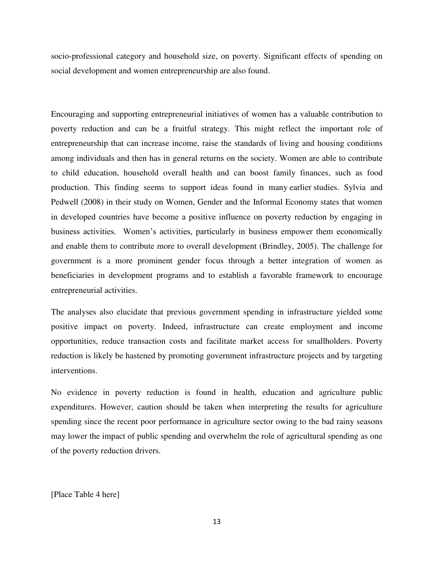socio-professional category and household size, on poverty. Significant effects of spending on social development and women entrepreneurship are also found.

Encouraging and supporting entrepreneurial initiatives of women has a valuable contribution to poverty reduction and can be a fruitful strategy. This might reflect the important role of entrepreneurship that can increase income, raise the standards of living and housing conditions among individuals and then has in general returns on the society. Women are able to contribute to child education, household overall health and can boost family finances, such as food production. This finding seems to support ideas found in many earlier studies. Sylvia and Pedwell (2008) in their study on Women, Gender and the Informal Economy states that women in developed countries have become a positive influence on poverty reduction by engaging in business activities. Women's activities, particularly in business empower them economically and enable them to contribute more to overall development (Brindley, 2005). The challenge for government is a more prominent gender focus through a better integration of women as beneficiaries in development programs and to establish a favorable framework to encourage entrepreneurial activities.

The analyses also elucidate that previous government spending in infrastructure yielded some positive impact on poverty. Indeed, infrastructure can create employment and income opportunities, reduce transaction costs and facilitate market access for smallholders. Poverty reduction is likely be hastened by promoting government infrastructure projects and by targeting interventions.

No evidence in poverty reduction is found in health, education and agriculture public expenditures. However, caution should be taken when interpreting the results for agriculture spending since the recent poor performance in agriculture sector owing to the bad rainy seasons may lower the impact of public spending and overwhelm the role of agricultural spending as one of the poverty reduction drivers.

[Place Table 4 here]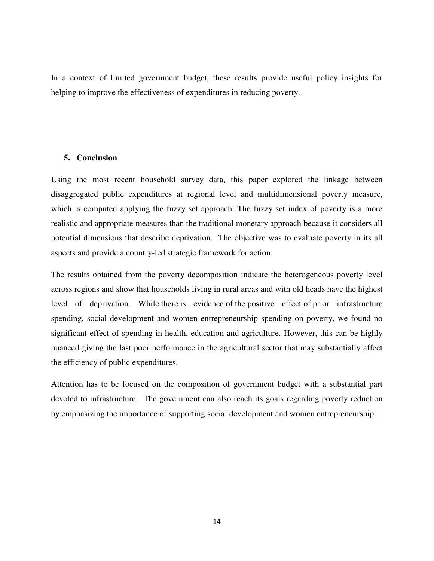In a context of limited government budget, these results provide useful policy insights for helping to improve the effectiveness of expenditures in reducing poverty.

#### **5. Conclusion**

Using the most recent household survey data, this paper explored the linkage between disaggregated public expenditures at regional level and multidimensional poverty measure, which is computed applying the fuzzy set approach. The fuzzy set index of poverty is a more realistic and appropriate measures than the traditional monetary approach because it considers all potential dimensions that describe deprivation. The objective was to evaluate poverty in its all aspects and provide a country-led strategic framework for action.

The results obtained from the poverty decomposition indicate the heterogeneous poverty level across regions and show that households living in rural areas and with old heads have the highest level of deprivation. While there is evidence of the positive effect of prior infrastructure spending, social development and women entrepreneurship spending on poverty, we found no significant effect of spending in health, education and agriculture. However, this can be highly nuanced giving the last poor performance in the agricultural sector that may substantially affect the efficiency of public expenditures.

Attention has to be focused on the composition of government budget with a substantial part devoted to infrastructure. The government can also reach its goals regarding poverty reduction by emphasizing the importance of supporting social development and women entrepreneurship.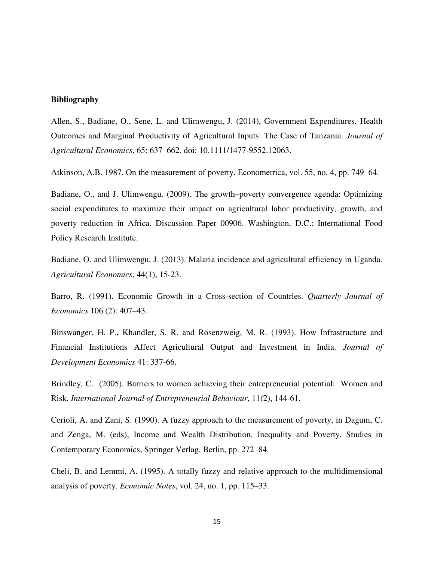#### **Bibliography**

Allen, S., Badiane, O., Sene, L. and Ulimwengu, J. (2014), Government Expenditures, Health Outcomes and Marginal Productivity of Agricultural Inputs: The Case of Tanzania. *Journal of Agricultural Economics*, 65: 637–662. doi: 10.1111/1477-9552.12063.

Atkinson, A.B. 1987. On the measurement of poverty. Econometrica, vol. 55, no. 4, pp. 749–64.

Badiane, O., and J. Ulimwengu. (2009). The growth–poverty convergence agenda: Optimizing social expenditures to maximize their impact on agricultural labor productivity, growth, and poverty reduction in Africa. Discussion Paper 00906. Washington, D.C.: International Food Policy Research Institute.

Badiane, O. and Ulimwengu, J. (2013). Malaria incidence and agricultural efficiency in Uganda. *Agricultural Economics*, 44(1), 15-23.

Barro, R. (1991). Economic Growth in a Cross-section of Countries. *Quarterly Journal of Economics* 106 (2): 407–43.

Binswanger, H. P., Khandler, S. R. and Rosenzweig, M. R. (1993). How Infrastructure and Financial Institutions Affect Agricultural Output and Investment in India. *Journal of Development Economics* 41: 337-66.

Brindley, C. (2005). Barriers to women achieving their entrepreneurial potential: Women and Risk. *International Journal of Entrepreneurial Behaviour*, 11(2), 144-61.

Cerioli, A. and Zani, S. (1990). A fuzzy approach to the measurement of poverty, in Dagum, C. and Zenga, M. (eds), Income and Wealth Distribution, Inequality and Poverty, Studies in Contemporary Economics, Springer Verlag, Berlin, pp. 272–84.

Cheli, B. and Lemmi, A. (1995). A totally fuzzy and relative approach to the multidimensional analysis of poverty. *Economic Notes*, vol. 24, no. 1, pp. 115–33.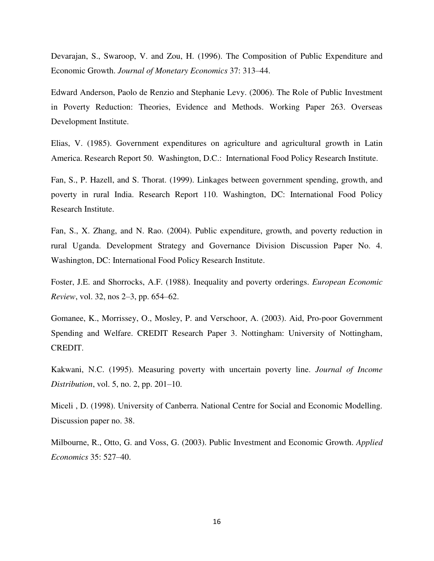Devarajan, S., Swaroop, V. and Zou, H. (1996). The Composition of Public Expenditure and Economic Growth. *Journal of Monetary Economics* 37: 313–44.

Edward Anderson, Paolo de Renzio and Stephanie Levy. (2006). The Role of Public Investment in Poverty Reduction: Theories, Evidence and Methods. Working Paper 263. Overseas Development Institute.

Elias, V. (1985). Government expenditures on agriculture and agricultural growth in Latin America. Research Report 50. Washington, D.C.: International Food Policy Research Institute.

Fan, S., P. Hazell, and S. Thorat. (1999). Linkages between government spending, growth, and poverty in rural India. Research Report 110. Washington, DC: International Food Policy Research Institute.

Fan, S., X. Zhang, and N. Rao. (2004). Public expenditure, growth, and poverty reduction in rural Uganda. Development Strategy and Governance Division Discussion Paper No. 4. Washington, DC: International Food Policy Research Institute.

Foster, J.E. and Shorrocks, A.F. (1988). Inequality and poverty orderings. *European Economic Review*, vol. 32, nos 2–3, pp. 654–62.

Gomanee, K., Morrissey, O., Mosley, P. and Verschoor, A. (2003). Aid, Pro-poor Government Spending and Welfare. CREDIT Research Paper 3. Nottingham: University of Nottingham, CREDIT.

Kakwani, N.C. (1995). Measuring poverty with uncertain poverty line. *Journal of Income Distribution*, vol. 5, no. 2, pp. 201–10.

Miceli , D. (1998). University of Canberra. National Centre for Social and Economic Modelling. Discussion paper no. 38.

Milbourne, R., Otto, G. and Voss, G. (2003). Public Investment and Economic Growth. *Applied Economics* 35: 527–40.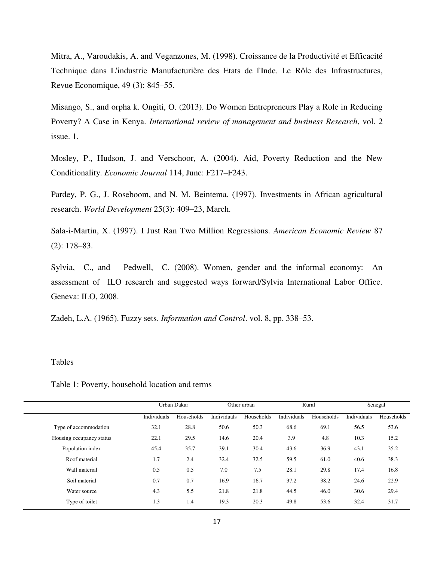Mitra, A., Varoudakis, A. and Veganzones, M. (1998). Croissance de la Productivité et Efficacité Technique dans L'industrie Manufacturière des Etats de l'Inde. Le Rôle des Infrastructures, Revue Economique, 49 (3): 845–55.

Misango, S., and orpha k. Ongiti, O. (2013). Do Women Entrepreneurs Play a Role in Reducing Poverty? A Case in Kenya. *International review of management and business Research*, vol. 2 issue. 1.

Mosley, P., Hudson, J. and Verschoor, A. (2004). Aid, Poverty Reduction and the New Conditionality. *Economic Journal* 114, June: F217–F243.

Pardey, P. G., J. Roseboom, and N. M. Beintema. (1997). Investments in African agricultural research. *World Development* 25(3): 409–23, March.

Sala-i-Martin, X. (1997). I Just Ran Two Million Regressions. *American Economic Review* 87 (2): 178–83.

Sylvia, C., and Pedwell, C. (2008). Women, gender and the informal economy: An assessment of ILO research and suggested ways forward/Sylvia International Labor Office. Geneva: ILO, 2008.

Zadeh, L.A. (1965). Fuzzy sets. *Information and Control*. vol. 8, pp. 338–53.

#### Tables

|                          |             | Urban Dakar |             | Other urban |             | Rural      |             | Senegal    |
|--------------------------|-------------|-------------|-------------|-------------|-------------|------------|-------------|------------|
|                          | Individuals | Households  | Individuals | Households  | Individuals | Households | Individuals | Households |
| Type of accommodation    | 32.1        | 28.8        | 50.6        | 50.3        | 68.6        | 69.1       | 56.5        | 53.6       |
| Housing occupancy status | 22.1        | 29.5        | 14.6        | 20.4        | 3.9         | 4.8        | 10.3        | 15.2       |
| Population index         | 45.4        | 35.7        | 39.1        | 30.4        | 43.6        | 36.9       | 43.1        | 35.2       |
| Roof material            | 1.7         | 2.4         | 32.4        | 32.5        | 59.5        | 61.0       | 40.6        | 38.3       |
| Wall material            | 0.5         | 0.5         | 7.0         | 7.5         | 28.1        | 29.8       | 17.4        | 16.8       |
| Soil material            | 0.7         | 0.7         | 16.9        | 16.7        | 37.2        | 38.2       | 24.6        | 22.9       |
| Water source             | 4.3         | 5.5         | 21.8        | 21.8        | 44.5        | 46.0       | 30.6        | 29.4       |
| Type of toilet           | 1.3         | 1.4         | 19.3        | 20.3        | 49.8        | 53.6       | 32.4        | 31.7       |
|                          |             |             |             |             |             |            |             |            |

Table 1: Poverty, household location and terms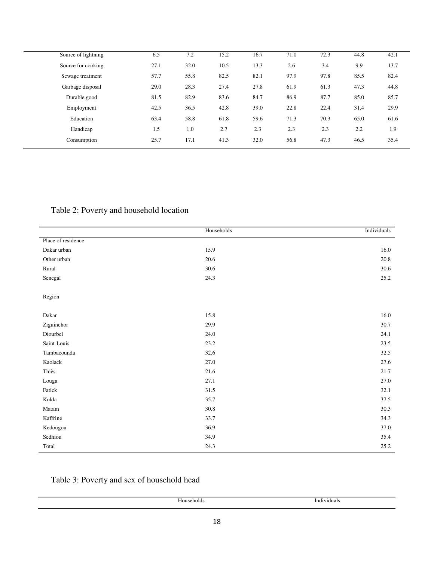| Source of lightning | 6.5  | 7.2  | 15.2 | 16.7 | 71.0 | 72.3 | 44.8 | 42.1 |
|---------------------|------|------|------|------|------|------|------|------|
| Source for cooking  | 27.1 | 32.0 | 10.5 | 13.3 | 2.6  | 3.4  | 9.9  | 13.7 |
| Sewage treatment    | 57.7 | 55.8 | 82.5 | 82.1 | 97.9 | 97.8 | 85.5 | 82.4 |
| Garbage disposal    | 29.0 | 28.3 | 27.4 | 27.8 | 61.9 | 61.3 | 47.3 | 44.8 |
| Durable good        | 81.5 | 82.9 | 83.6 | 84.7 | 86.9 | 87.7 | 85.0 | 85.7 |
| Employment          | 42.5 | 36.5 | 42.8 | 39.0 | 22.8 | 22.4 | 31.4 | 29.9 |
| Education           | 63.4 | 58.8 | 61.8 | 59.6 | 71.3 | 70.3 | 65.0 | 61.6 |
| Handicap            | 1.5  | 1.0  | 2.7  | 2.3  | 2.3  | 2.3  | 2.2  | 1.9  |
| Consumption         | 25.7 | 17.1 | 41.3 | 32.0 | 56.8 | 47.3 | 46.5 | 35.4 |
|                     |      |      |      |      |      |      |      |      |

### Table 2: Poverty and household location

|                    | Households | Individuals |
|--------------------|------------|-------------|
| Place of residence |            |             |
| Dakar urban        | 15.9       | 16.0        |
| Other urban        | 20.6       | 20.8        |
| Rural              | $30.6\,$   | 30.6        |
| Senegal            | 24.3       | 25.2        |
| Region             |            |             |
| Dakar              | 15.8       | 16.0        |
| Ziguinchor         | 29.9       | 30.7        |
| Diourbel           | 24.0       | 24.1        |
| Saint-Louis        | 23.2       | 23.5        |
| Tambacounda        | 32.6       | 32.5        |
| Kaolack            | 27.0       | 27.6        |
| Thiès              | $21.6\,$   | 21.7        |
| Louga              | 27.1       | 27.0        |
| Fatick             | 31.5       | 32.1        |
| Kolda              | 35.7       | 37.5        |
| Matam              | $30.8\,$   | 30.3        |
| Kaffrine           | 33.7       | 34.3        |
| Kedougou           | 36.9       | 37.0        |
| Sedhiou            | 34.9       | 35.4        |
| Total              | 24.3       | 25.2        |

### Table 3: Poverty and sex of household head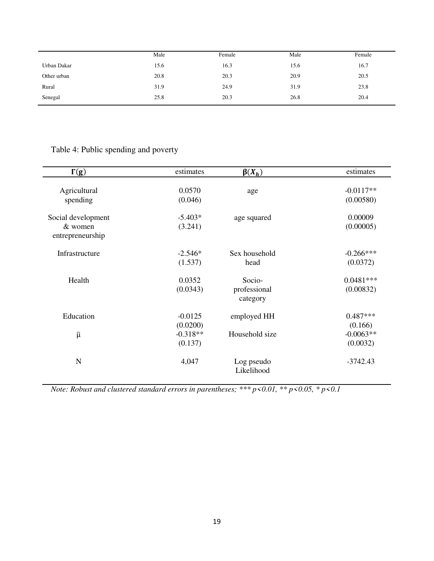|             | Male | Female | Male | Female |
|-------------|------|--------|------|--------|
| Urban Dakar | 15.6 | 16.3   | 15.6 | 16.7   |
| Other urban | 20.8 | 20.3   | 20.9 | 20.5   |
| Rural       | 31.9 | 24.9   | 31.9 | 23.8   |
| Senegal     | 25.8 | 20.3   | 26.8 | 20.4   |

## Table 4: Public spending and poverty

| $\Gamma(g)$                                       | estimates             | $\beta(X_h)$                       | estimates                |
|---------------------------------------------------|-----------------------|------------------------------------|--------------------------|
| Agricultural<br>spending                          | 0.0570<br>(0.046)     | age                                | $-0.0117**$<br>(0.00580) |
| Social development<br>& women<br>entrepreneurship | $-5.403*$<br>(3.241)  | age squared                        | 0.00009<br>(0.00005)     |
| Infrastructure                                    | $-2.546*$<br>(1.537)  | Sex household<br>head              | $-0.266***$<br>(0.0372)  |
| Health                                            | 0.0352<br>(0.0343)    | Socio-<br>professional<br>category | $0.0481***$<br>(0.00832) |
| Education                                         | $-0.0125$<br>(0.0200) | employed HH                        | $0.487***$<br>(0.166)    |
| $\bar{\mu}$                                       | $-0.318**$<br>(0.137) | Household size                     | $-0.0063**$<br>(0.0032)  |
| N                                                 | 4,047                 | Log pseudo<br>Likelihood           | $-3742.43$               |

*Note: Robust and clustered standard errors in parentheses; \*\*\* p<0.01, \*\* p<0.05, \* p<0.1*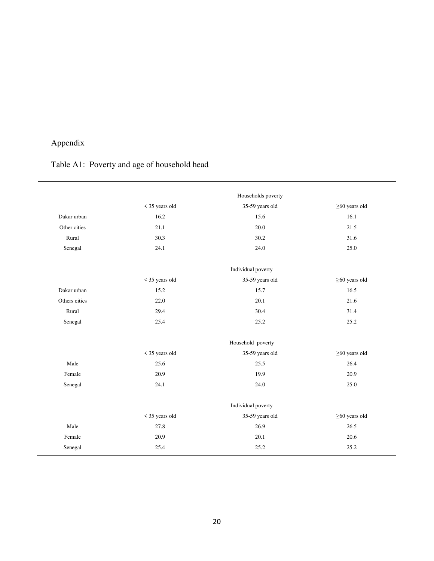# Appendix

|               |                | Households poverty |                     |
|---------------|----------------|--------------------|---------------------|
|               | < 35 years old | 35-59 years old    | $\geq$ 60 years old |
| Dakar urban   | 16.2           | 15.6               | 16.1                |
| Other cities  | 21.1           | 20.0               | 21.5                |
| Rural         | 30.3           | 30.2               | 31.6                |
| Senegal       | 24.1           | 24.0               | 25.0                |
|               |                | Individual poverty |                     |
|               | < 35 years old | 35-59 years old    | $\geq$ 60 years old |
| Dakar urban   | 15.2           | 15.7               | 16.5                |
| Others cities | 22.0           | 20.1               | 21.6                |
| Rural         | 29.4           | 30.4               | 31.4                |
| Senegal       | 25.4           | 25.2               | 25.2                |
|               |                | Household poverty  |                     |
|               | < 35 years old | 35-59 years old    | $\geq$ 60 years old |
| Male          | 25.6           | 25.5               | 26.4                |
| Female        | 20.9           | 19.9               | 20.9                |
| Senegal       | 24.1           | 24.0               | 25.0                |
|               |                | Individual poverty |                     |
|               | < 35 years old | 35-59 years old    | $\geq$ 60 years old |
| Male          | 27.8           | 26.9               | 26.5                |
| Female        | 20.9           | 20.1               | 20.6                |
| Senegal       | 25.4           | 25.2               | 25.2                |

# Table A1: Poverty and age of household head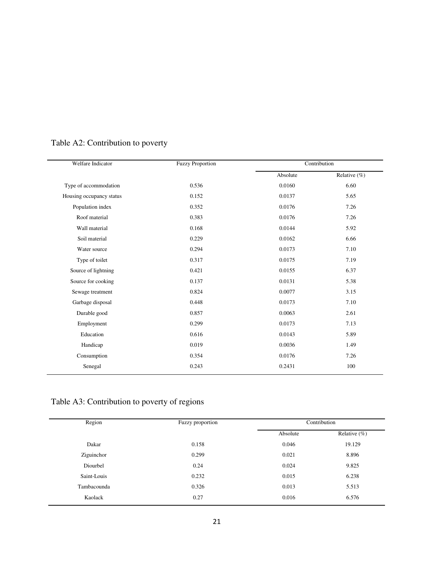| Welfare Indicator        | <b>Fuzzy Proportion</b> |          | Contribution |
|--------------------------|-------------------------|----------|--------------|
|                          |                         | Absolute | Relative (%) |
| Type of accommodation    | 0.536                   | 0.0160   | 6.60         |
| Housing occupancy status | 0.152                   | 0.0137   | 5.65         |
| Population index         | 0.352                   | 0.0176   | 7.26         |
| Roof material            | 0.383                   | 0.0176   | 7.26         |
| Wall material            | 0.168                   | 0.0144   | 5.92         |
| Soil material            | 0.229                   | 0.0162   | 6.66         |
| Water source             | 0.294                   | 0.0173   | 7.10         |
| Type of toilet           | 0.317                   | 0.0175   | 7.19         |
| Source of lightning      | 0.421                   | 0.0155   | 6.37         |
| Source for cooking       | 0.137                   | 0.0131   | 5.38         |
| Sewage treatment         | 0.824                   | 0.0077   | 3.15         |
| Garbage disposal         | 0.448                   | 0.0173   | 7.10         |
| Durable good             | 0.857                   | 0.0063   | 2.61         |
| Employment               | 0.299                   | 0.0173   | 7.13         |
| Education                | 0.616                   | 0.0143   | 5.89         |
| Handicap                 | 0.019                   | 0.0036   | 1.49         |
| Consumption              | 0.354                   | 0.0176   | 7.26         |
| Senegal                  | 0.243                   | 0.2431   | 100          |
|                          |                         |          |              |

## Table A2: Contribution to poverty

# Table A3: Contribution to poverty of regions

| Region      | Fuzzy proportion |                              | Contribution |  |  |
|-------------|------------------|------------------------------|--------------|--|--|
|             |                  | Relative $(\% )$<br>Absolute |              |  |  |
| Dakar       | 0.158            | 0.046                        | 19.129       |  |  |
| Ziguinchor  | 0.299            | 0.021                        | 8.896        |  |  |
| Diourbel    | 0.24             | 0.024                        | 9.825        |  |  |
| Saint-Louis | 0.232            | 0.015                        | 6.238        |  |  |
| Tambacounda | 0.326            | 0.013                        | 5.513        |  |  |
| Kaolack     | 0.27             | 0.016                        | 6.576        |  |  |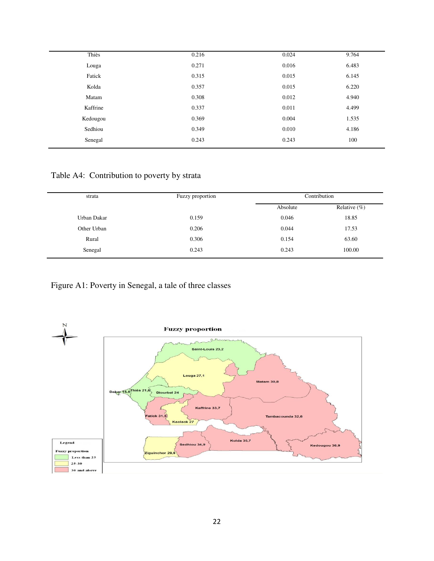| Thiès    | 0.216 | 0.024 | 9.764 |
|----------|-------|-------|-------|
| Louga    | 0.271 | 0.016 | 6.483 |
| Fatick   | 0.315 | 0.015 | 6.145 |
| Kolda    | 0.357 | 0.015 | 6.220 |
| Matam    | 0.308 | 0.012 | 4.940 |
| Kaffrine | 0.337 | 0.011 | 4.499 |
| Kedougou | 0.369 | 0.004 | 1.535 |
| Sedhiou  | 0.349 | 0.010 | 4.186 |
| Senegal  | 0.243 | 0.243 | 100   |
|          |       |       |       |

Table A4: Contribution to poverty by strata

| strata      | Fuzzy proportion | Contribution                 |        |
|-------------|------------------|------------------------------|--------|
|             |                  | Relative $(\% )$<br>Absolute |        |
| Urban Dakar | 0.159            | 0.046                        | 18.85  |
| Other Urban | 0.206            | 0.044                        | 17.53  |
| Rural       | 0.306            | 0.154                        | 63.60  |
| Senegal     | 0.243            | 0.243                        | 100.00 |

Figure A1: Poverty in Senegal, a tale of three classes